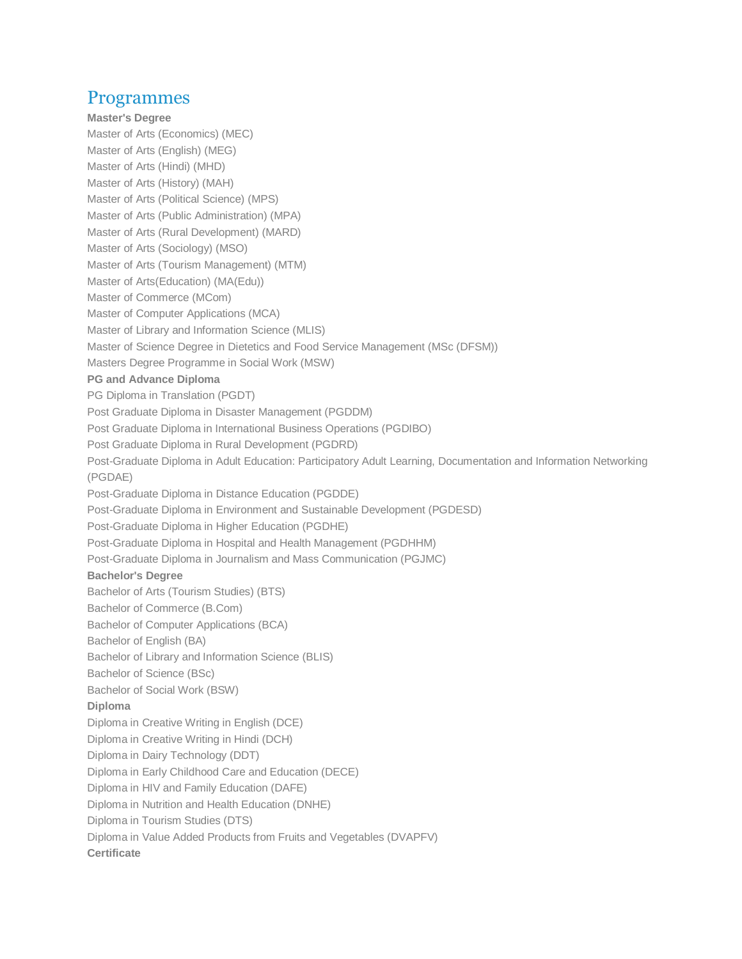## Programmes

**Master's Degree** [Master of Arts \(Economics\) \(MEC\)](http://rcahmedabad.ignou.ac.in/programmes/detail/120/2) [Master of Arts \(English\) \(MEG\)](http://rcahmedabad.ignou.ac.in/programmes/detail/3/2) [Master of Arts \(Hindi\) \(MHD\)](http://rcahmedabad.ignou.ac.in/programmes/detail/4/2) [Master of Arts \(History\) \(MAH\)](http://rcahmedabad.ignou.ac.in/programmes/detail/121/2) [Master of Arts \(Political Science\) \(MPS\)](http://rcahmedabad.ignou.ac.in/programmes/detail/122/2) [Master of Arts \(Public Administration\) \(MPA\)](http://rcahmedabad.ignou.ac.in/programmes/detail/123/2) [Master of Arts \(Rural Development\) \(MARD\)](http://rcahmedabad.ignou.ac.in/programmes/detail/346/2) [Master of Arts \(Sociology\) \(MSO\)](http://rcahmedabad.ignou.ac.in/programmes/detail/124/2) [Master of Arts \(Tourism Management\) \(MTM\)](http://rcahmedabad.ignou.ac.in/programmes/detail/131/2) [Master of Arts\(Education\) \(MA\(Edu\)\)](http://rcahmedabad.ignou.ac.in/programmes/detail/362/2) [Master of Commerce \(MCom\)](http://rcahmedabad.ignou.ac.in/programmes/detail/342/2) [Master of Computer Applications \(MCA\)](http://rcahmedabad.ignou.ac.in/programmes/detail/174/2) [Master of Library and Information Science \(MLIS\)](http://rcahmedabad.ignou.ac.in/programmes/detail/143/2) [Master of Science Degree in Dietetics and Food Service Management \(MSc \(DFSM\)\)](http://rcahmedabad.ignou.ac.in/programmes/detail/200/2) [Masters Degree Programme in Social Work \(MSW\)](http://rcahmedabad.ignou.ac.in/programmes/detail/347/2) **PG and Advance Diploma** [PG Diploma in Translation \(PGDT\)](http://rcahmedabad.ignou.ac.in/programmes/detail/395/2) [Post Graduate Diploma in Disaster Management \(PGDDM\)](http://rcahmedabad.ignou.ac.in/programmes/detail/151/2) [Post Graduate Diploma in International Business Operations \(PGDIBO\)](http://rcahmedabad.ignou.ac.in/programmes/detail/341/2) [Post Graduate Diploma in Rural Development \(PGDRD\)](http://rcahmedabad.ignou.ac.in/programmes/detail/345/2) [Post-Graduate Diploma in Adult Education: Participatory Adult Learning, Documentation and Information Networking](http://rcahmedabad.ignou.ac.in/programmes/detail/63/2)  [\(PGDAE\)](http://rcahmedabad.ignou.ac.in/programmes/detail/63/2) [Post-Graduate Diploma in Distance Education \(PGDDE\)](http://rcahmedabad.ignou.ac.in/programmes/detail/73/2) [Post-Graduate Diploma in Environment and Sustainable Development \(PGDESD\)](http://rcahmedabad.ignou.ac.in/programmes/detail/405/2) [Post-Graduate Diploma in Higher Education \(PGDHE\)](http://rcahmedabad.ignou.ac.in/programmes/detail/74/2) [Post-Graduate Diploma in Hospital and Health Management \(PGDHHM\)](http://rcahmedabad.ignou.ac.in/programmes/detail/222/2) [Post-Graduate Diploma in Journalism and Mass Communication \(PGJMC\)](http://rcahmedabad.ignou.ac.in/programmes/detail/155/2) **Bachelor's Degree** [Bachelor of Arts \(Tourism Studies\) \(BTS\)](http://rcahmedabad.ignou.ac.in/programmes/detail/359/2) [Bachelor of Commerce \(B.Com\)](http://rcahmedabad.ignou.ac.in/programmes/detail/348/2) [Bachelor of Computer Applications \(BCA\)](http://rcahmedabad.ignou.ac.in/programmes/detail/190/2) [Bachelor of English \(BA\)](http://rcahmedabad.ignou.ac.in/programmes/detail/141/2) [Bachelor of Library and Information Science \(BLIS\)](http://rcahmedabad.ignou.ac.in/programmes/detail/148/2) [Bachelor of Science \(BSc\)](http://rcahmedabad.ignou.ac.in/programmes/detail/357/2) [Bachelor of Social Work \(BSW\)](http://rcahmedabad.ignou.ac.in/programmes/detail/202/2) **Diploma** [Diploma in Creative Writing in English \(DCE\)](http://rcahmedabad.ignou.ac.in/programmes/detail/134/2) [Diploma in Creative Writing in Hindi \(DCH\)](http://rcahmedabad.ignou.ac.in/programmes/detail/419/2) [Diploma in Dairy Technology \(DDT\)](http://rcahmedabad.ignou.ac.in/programmes/detail/423/2) [Diploma in Early Childhood Care and Education \(DECE\)](http://rcahmedabad.ignou.ac.in/programmes/detail/238/2) [Diploma in HIV and Family Education \(DAFE\)](http://rcahmedabad.ignou.ac.in/programmes/detail/51/2) [Diploma in Nutrition and Health Education \(DNHE\)](http://rcahmedabad.ignou.ac.in/programmes/detail/239/2) [Diploma in Tourism Studies \(DTS\)](http://rcahmedabad.ignou.ac.in/programmes/detail/378/2) [Diploma in Value Added Products from Fruits and Vegetables \(DVAPFV\)](http://rcahmedabad.ignou.ac.in/programmes/detail/414/2) **Certificate**